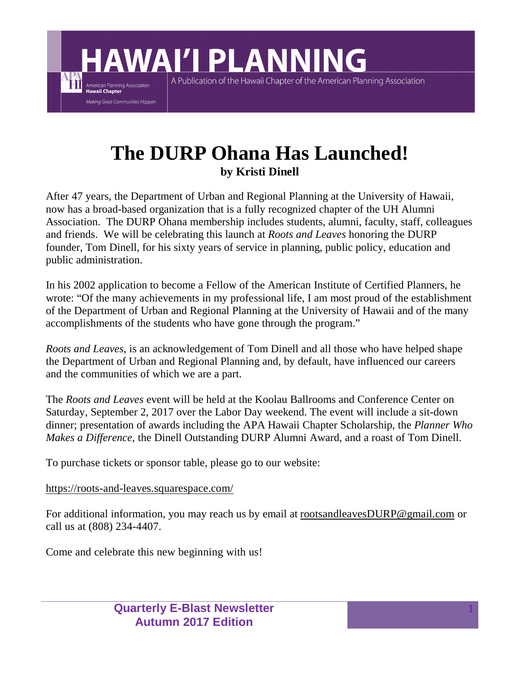**The DURP Ohana Has Launched!**

A Publication of the Hawaii Chapter of the American Planning Association

**HAWAI'I PLANNING** 

**by Kristi Dinell**

After 47 years, the Department of Urban and Regional Planning at the University of Hawaii, now has a broad-based organization that is a fully recognized chapter of the UH Alumni Association. The DURP Ohana membership includes students, alumni, faculty, staff, colleagues and friends. We will be celebrating this launch at *Roots and Leaves* honoring the DURP founder, Tom Dinell, for his sixty years of service in planning, public policy, education and public administration.

In his 2002 application to become a Fellow of the American Institute of Certified Planners, he wrote: "Of the many achievements in my professional life, I am most proud of the establishment of the Department of Urban and Regional Planning at the University of Hawaii and of the many accomplishments of the students who have gone through the program."

*Roots and Leaves*, is an acknowledgement of Tom Dinell and all those who have helped shape the Department of Urban and Regional Planning and, by default, have influenced our careers and the communities of which we are a part.

The *Roots and Leaves* event will be held at the Koolau Ballrooms and Conference Center on Saturday, September 2, 2017 over the Labor Day weekend. The event will include a sit-down dinner; presentation of awards including the APA Hawaii Chapter Scholarship, the *Planner Who Makes a Difference,* the Dinell Outstanding DURP Alumni Award, and a roast of Tom Dinell.

To purchase tickets or sponsor table, please go to our website:

https://roots-and-leaves.squarespace.com/

American Planning Association<br>**Hawaii Chapter** Making Great Communities Happen

For additional information, you may reach us by email at rootsandleavesDURP@gmail.com or call us at (808) 234-4407.

Come and celebrate this new beginning with us!

**Quarterly E-Blast Newsletter Autumn 2017 Edition**